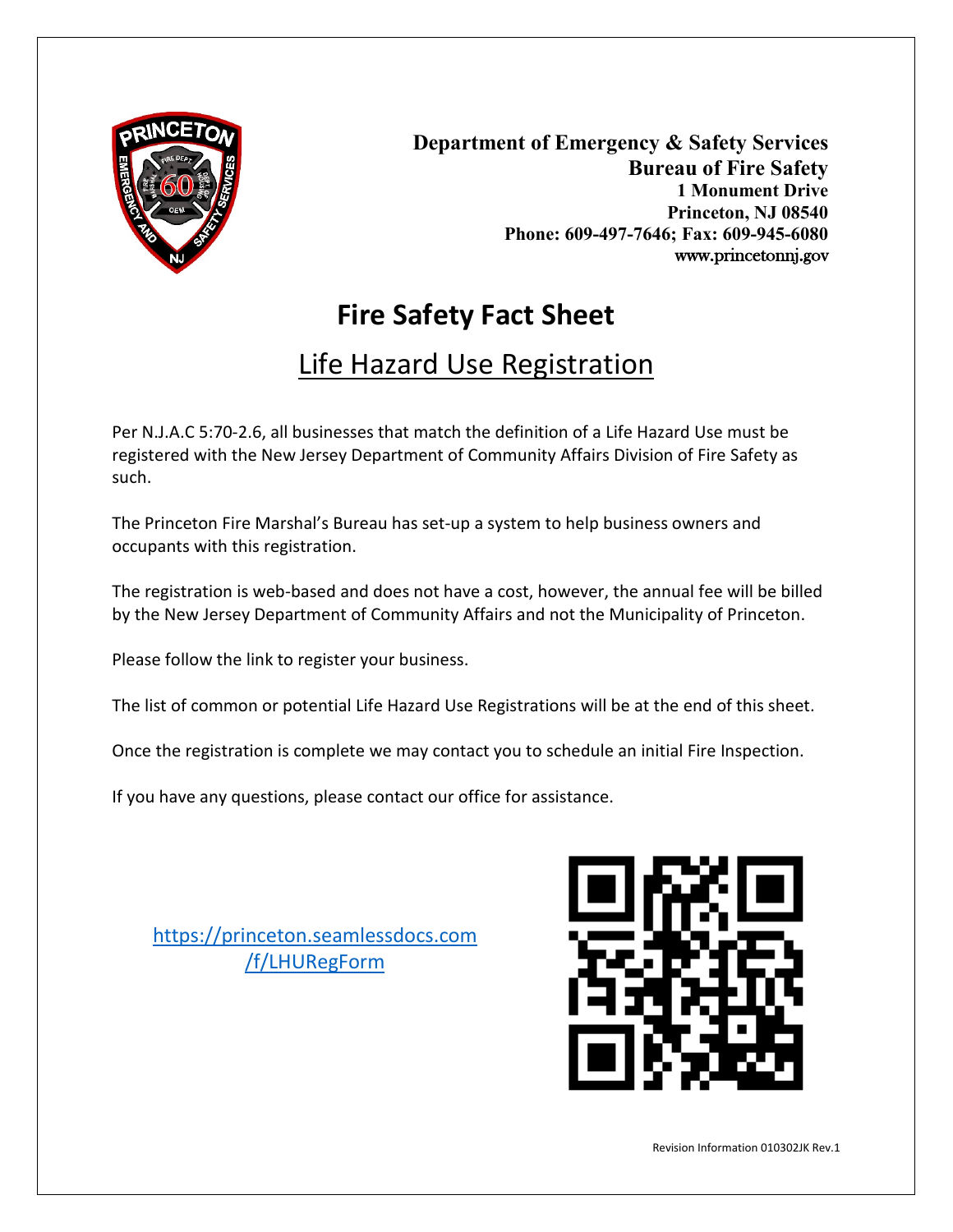

**Department of Emergency & Safety Services Bureau of Fire Safety 1 Monument Drive Princeton, NJ 08540 Phone: 609-497-7646; Fax: 609-945-6080** www.princetonnj.gov

# **Fire Safety Fact Sheet**

## Life Hazard Use Registration

Per N.J.A.C 5:70-2.6, all businesses that match the definition of a Life Hazard Use must be registered with the New Jersey Department of Community Affairs Division of Fire Safety as such.

The Princeton Fire Marshal's Bureau has set-up a system to help business owners and occupants with this registration.

The registration is web-based and does not have a cost, however, the annual fee will be billed by the New Jersey Department of Community Affairs and not the Municipality of Princeton.

Please follow the link to register your business.

The list of common or potential Life Hazard Use Registrations will be at the end of this sheet.

Once the registration is complete we may contact you to schedule an initial Fire Inspection.

If you have any questions, please contact our office for assistance.

[https://princeton.seamlessdocs.com](https://princeton.seamlessdocs.com/f/LHURegForm) [/f/LHURegForm](https://princeton.seamlessdocs.com/f/LHURegForm)

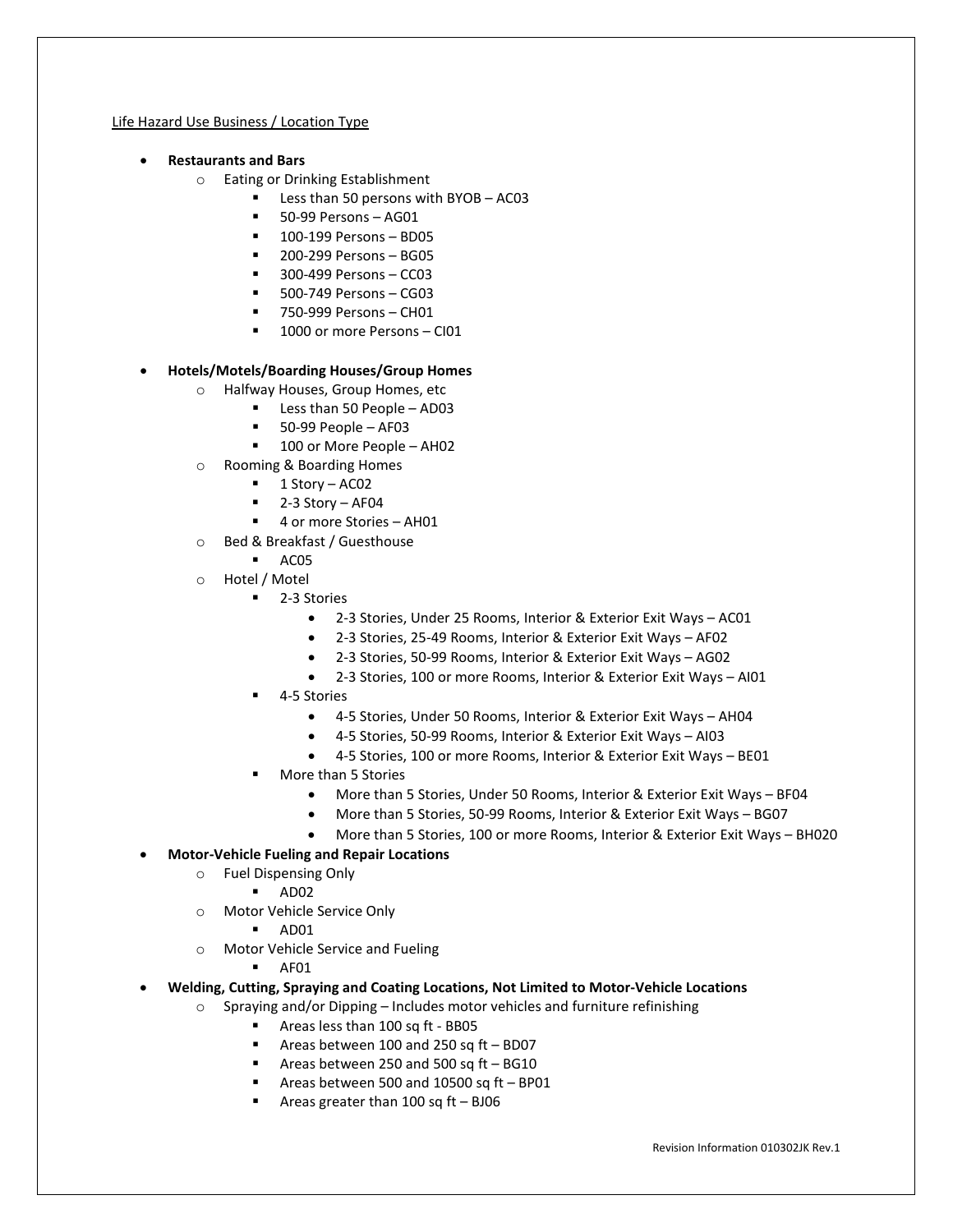#### Life Hazard Use Business / Location Type

- **Restaurants and Bars**
	- o Eating or Drinking Establishment
		- Less than 50 persons with BYOB AC03
		- 50-99 Persons AG01
		- **100-199 Persons BD05**
		- 200-299 Persons BG05
		- **300-499 Persons CC03**
		- 500-749 Persons CG03
		- 750-999 Persons CH01
		- <sup>1</sup> 1000 or more Persons CI01

#### • **Hotels/Motels/Boarding Houses/Group Homes**

- o Halfway Houses, Group Homes, etc
	- Less than 50 People AD03
	- $-50-99$  People AF03
	- 100 or More People AH02
- o Rooming & Boarding Homes
	- $\blacksquare$  1 Story AC02
	- 2-3 Story AF04
	- 4 or more Stories AH01
- o Bed & Breakfast / Guesthouse
	- AC05
- o Hotel / Motel
	- 2-3 Stories
		- 2-3 Stories, Under 25 Rooms, Interior & Exterior Exit Ways AC01
		- 2-3 Stories, 25-49 Rooms, Interior & Exterior Exit Ways AF02
		- 2-3 Stories, 50-99 Rooms, Interior & Exterior Exit Ways AG02
		- 2-3 Stories, 100 or more Rooms, Interior & Exterior Exit Ways AI01
	- 4-5 Stories
		- 4-5 Stories, Under 50 Rooms, Interior & Exterior Exit Ways AH04
		- 4-5 Stories, 50-99 Rooms, Interior & Exterior Exit Ways AI03
		- 4-5 Stories, 100 or more Rooms, Interior & Exterior Exit Ways BE01
	- More than 5 Stories
		- More than 5 Stories, Under 50 Rooms, Interior & Exterior Exit Ways BF04
		- More than 5 Stories, 50-99 Rooms, Interior & Exterior Exit Ways BG07
		- More than 5 Stories, 100 or more Rooms, Interior & Exterior Exit Ways BH020
- **Motor-Vehicle Fueling and Repair Locations**
	- o Fuel Dispensing Only
		- $AD02$
	- o Motor Vehicle Service Only
		- AD01
	- o Motor Vehicle Service and Fueling
		- AF01
- **Welding, Cutting, Spraying and Coating Locations, Not Limited to Motor-Vehicle Locations**
	- o Spraying and/or Dipping Includes motor vehicles and furniture refinishing
		- Areas less than 100 sq ft BB05
		- Areas between 100 and 250 sq ft BD07
		- Areas between 250 and 500 sq ft BG10
		- Areas between 500 and 10500 sq ft BP01
		- Areas greater than 100 sq ft BJ06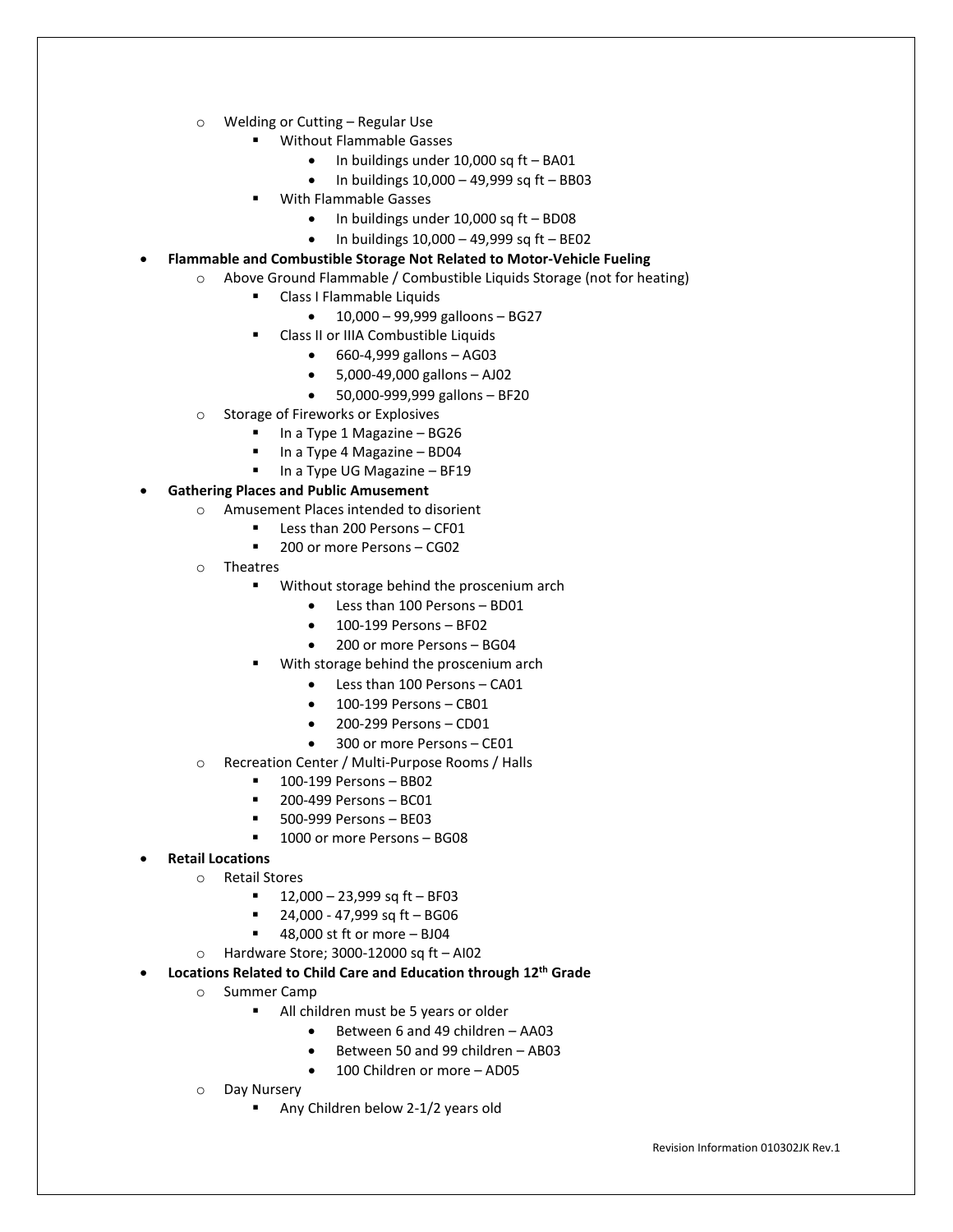- o Welding or Cutting Regular Use
	- Without Flammable Gasses
		- In buildings under 10,000 sq ft BA01
		- In buildings 10,000 49,999 sq ft BB03
	- With Flammable Gasses
		- In buildings under 10,000 sq ft BD08
		- $\bullet$  In buildings 10,000 49,999 sq ft BE02
- **Flammable and Combustible Storage Not Related to Motor-Vehicle Fueling**
	- o Above Ground Flammable / Combustible Liquids Storage (not for heating)
		- **EXECUTE:** Class I Flammable Liquids
			- 10,000 99,999 galloons BG27
		- Class II or IIIA Combustible Liquids
			- 660-4,999 gallons AG03
			- 5,000-49,000 gallons AJ02
			- 50,000-999,999 gallons BF20
		- o Storage of Fireworks or Explosives
			- $\blacksquare$  In a Type 1 Magazine BG26
			- In a Type 4 Magazine BD04
			- **In a Type UG Magazine BF19**
- **Gathering Places and Public Amusement**
	- o Amusement Places intended to disorient
		- **Less than 200 Persons CF01**
		- 200 or more Persons CG02
	- o Theatres
		- **Without storage behind the proscenium arch** 
			- Less than 100 Persons BD01
			- 100-199 Persons BF02
			- 200 or more Persons BG04
			- With storage behind the proscenium arch
				- Less than 100 Persons CA01
				- 100-199 Persons CB01
				- 200-299 Persons CD01
				- 300 or more Persons CE01
	- o Recreation Center / Multi-Purpose Rooms / Halls
		- 100-199 Persons BB02
		- **200-499 Persons BC01**
		- 500-999 Persons BE03
		- 1000 or more Persons BG08
- **Retail Locations**
	- o Retail Stores
		- 12,000 23,999 sq ft BF03
		- $-24,000 47,999$  sq ft BG06
		- 48,000 st ft or more BJ04
		- $\circ$  Hardware Store; 3000-12000 sq ft AI02
- **Locations Related to Child Care and Education through 12th Grade**
	- o Summer Camp
		- All children must be 5 years or older
			- Between 6 and 49 children AA03
			- Between 50 and 99 children AB03
			- 100 Children or more AD05
	- o Day Nursery
		- Any Children below 2-1/2 years old